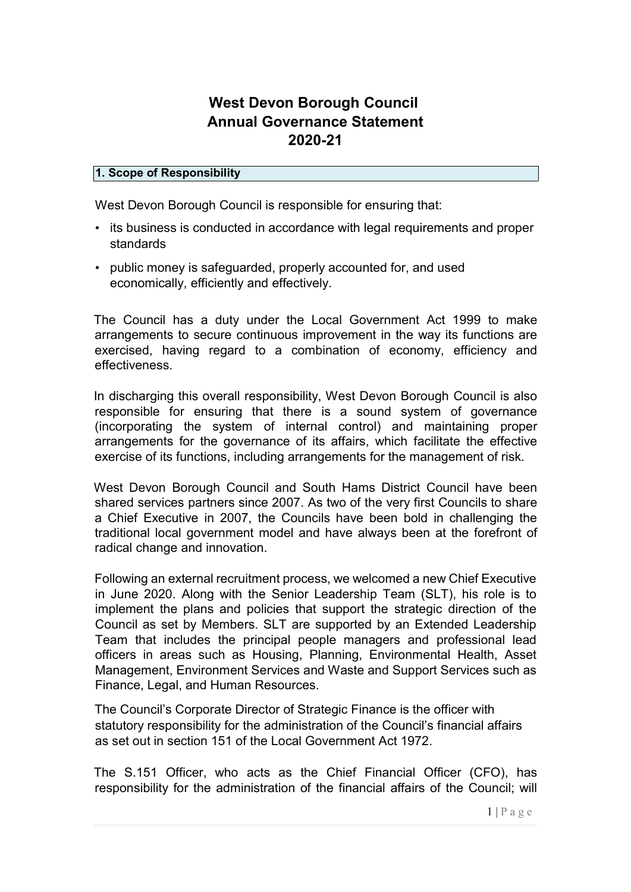# West Devon Borough Council Annual Governance Statement 2020-21

### 1. Scope of Responsibility

West Devon Borough Council is responsible for ensuring that:

- its business is conducted in accordance with legal requirements and proper standards
- public money is safeguarded, properly accounted for, and used economically, efficiently and effectively.

The Council has a duty under the Local Government Act 1999 to make arrangements to secure continuous improvement in the way its functions are exercised, having regard to a combination of economy, efficiency and effectiveness.

In discharging this overall responsibility, West Devon Borough Council is also responsible for ensuring that there is a sound system of governance (incorporating the system of internal control) and maintaining proper arrangements for the governance of its affairs, which facilitate the effective exercise of its functions, including arrangements for the management of risk.

West Devon Borough Council and South Hams District Council have been shared services partners since 2007. As two of the very first Councils to share a Chief Executive in 2007, the Councils have been bold in challenging the traditional local government model and have always been at the forefront of radical change and innovation.

Following an external recruitment process, we welcomed a new Chief Executive in June 2020. Along with the Senior Leadership Team (SLT), his role is to implement the plans and policies that support the strategic direction of the Council as set by Members. SLT are supported by an Extended Leadership Team that includes the principal people managers and professional lead officers in areas such as Housing, Planning, Environmental Health, Asset Management, Environment Services and Waste and Support Services such as Finance, Legal, and Human Resources.

The Council's Corporate Director of Strategic Finance is the officer with statutory responsibility for the administration of the Council's financial affairs as set out in section 151 of the Local Government Act 1972.

The S.151 Officer, who acts as the Chief Financial Officer (CFO), has responsibility for the administration of the financial affairs of the Council; will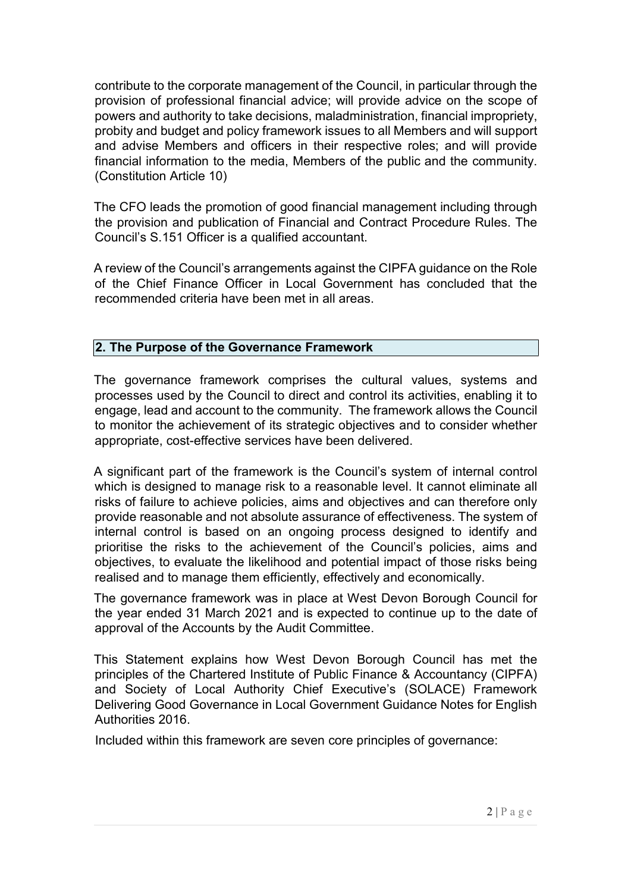contribute to the corporate management of the Council, in particular through the provision of professional financial advice; will provide advice on the scope of powers and authority to take decisions, maladministration, financial impropriety, probity and budget and policy framework issues to all Members and will support and advise Members and officers in their respective roles; and will provide financial information to the media, Members of the public and the community. (Constitution Article 10)

The CFO leads the promotion of good financial management including through the provision and publication of Financial and Contract Procedure Rules. The Council's S.151 Officer is a qualified accountant.

A review of the Council's arrangements against the CIPFA guidance on the Role of the Chief Finance Officer in Local Government has concluded that the recommended criteria have been met in all areas.

### 2. The Purpose of the Governance Framework

The governance framework comprises the cultural values, systems and processes used by the Council to direct and control its activities, enabling it to engage, lead and account to the community. The framework allows the Council to monitor the achievement of its strategic objectives and to consider whether appropriate, cost-effective services have been delivered.

A significant part of the framework is the Council's system of internal control which is designed to manage risk to a reasonable level. It cannot eliminate all risks of failure to achieve policies, aims and objectives and can therefore only provide reasonable and not absolute assurance of effectiveness. The system of internal control is based on an ongoing process designed to identify and prioritise the risks to the achievement of the Council's policies, aims and objectives, to evaluate the likelihood and potential impact of those risks being realised and to manage them efficiently, effectively and economically.

The governance framework was in place at West Devon Borough Council for the year ended 31 March 2021 and is expected to continue up to the date of approval of the Accounts by the Audit Committee.

This Statement explains how West Devon Borough Council has met the principles of the Chartered Institute of Public Finance & Accountancy (CIPFA) and Society of Local Authority Chief Executive's (SOLACE) Framework Delivering Good Governance in Local Government Guidance Notes for English Authorities 2016.

Included within this framework are seven core principles of governance: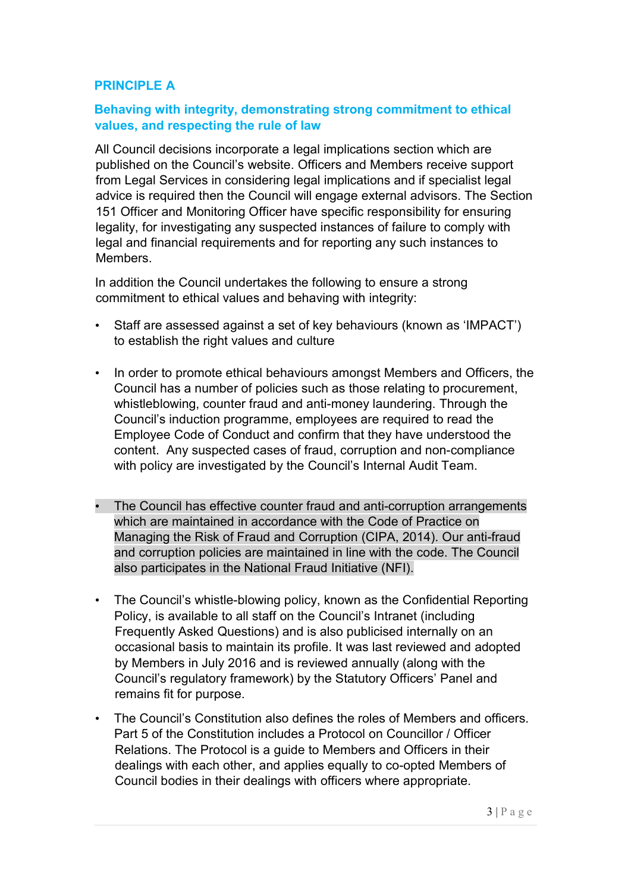### PRINCIPLE A

### Behaving with integrity, demonstrating strong commitment to ethical values, and respecting the rule of law

All Council decisions incorporate a legal implications section which are published on the Council's website. Officers and Members receive support from Legal Services in considering legal implications and if specialist legal advice is required then the Council will engage external advisors. The Section 151 Officer and Monitoring Officer have specific responsibility for ensuring legality, for investigating any suspected instances of failure to comply with legal and financial requirements and for reporting any such instances to Members.

In addition the Council undertakes the following to ensure a strong commitment to ethical values and behaving with integrity:

- Staff are assessed against a set of key behaviours (known as 'IMPACT') to establish the right values and culture
- In order to promote ethical behaviours amongst Members and Officers, the Council has a number of policies such as those relating to procurement, whistleblowing, counter fraud and anti-money laundering. Through the Council's induction programme, employees are required to read the Employee Code of Conduct and confirm that they have understood the content. Any suspected cases of fraud, corruption and non-compliance with policy are investigated by the Council's Internal Audit Team.
- The Council has effective counter fraud and anti-corruption arrangements which are maintained in accordance with the Code of Practice on Managing the Risk of Fraud and Corruption (CIPA, 2014). Our anti-fraud and corruption policies are maintained in line with the code. The Council also participates in the National Fraud Initiative (NFI).
- The Council's whistle-blowing policy, known as the Confidential Reporting Policy, is available to all staff on the Council's Intranet (including Frequently Asked Questions) and is also publicised internally on an occasional basis to maintain its profile. It was last reviewed and adopted by Members in July 2016 and is reviewed annually (along with the Council's regulatory framework) by the Statutory Officers' Panel and remains fit for purpose.
- The Council's Constitution also defines the roles of Members and officers. Part 5 of the Constitution includes a Protocol on Councillor / Officer Relations. The Protocol is a guide to Members and Officers in their dealings with each other, and applies equally to co-opted Members of Council bodies in their dealings with officers where appropriate.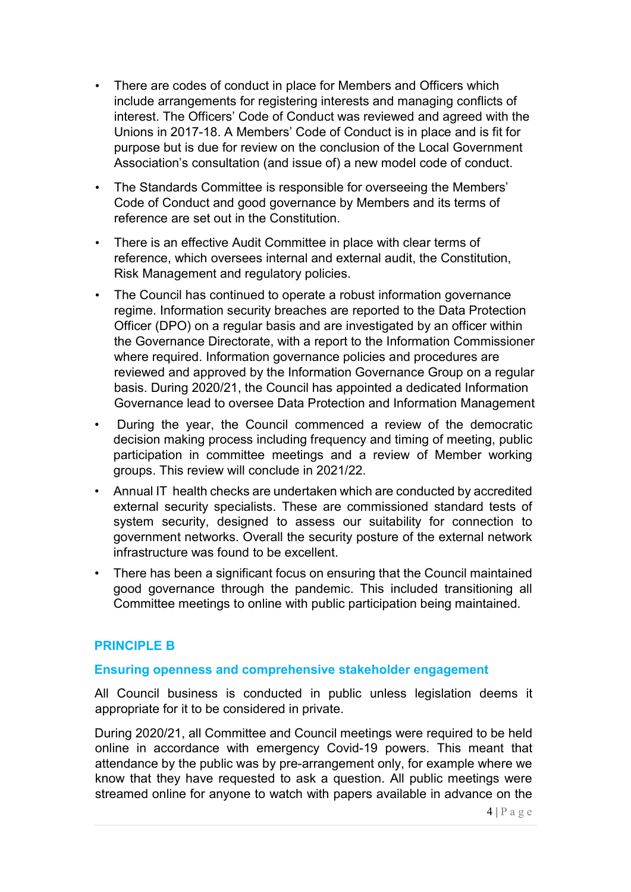- There are codes of conduct in place for Members and Officers which include arrangements for registering interests and managing conflicts of interest. The Officers' Code of Conduct was reviewed and agreed with the Unions in 2017-18. A Members' Code of Conduct is in place and is fit for purpose but is due for review on the conclusion of the Local Government Association's consultation (and issue of) a new model code of conduct.
- The Standards Committee is responsible for overseeing the Members' Code of Conduct and good governance by Members and its terms of reference are set out in the Constitution.
- There is an effective Audit Committee in place with clear terms of reference, which oversees internal and external audit, the Constitution, Risk Management and regulatory policies.
- The Council has continued to operate a robust information governance regime. Information security breaches are reported to the Data Protection Officer (DPO) on a regular basis and are investigated by an officer within the Governance Directorate, with a report to the Information Commissioner where required. Information governance policies and procedures are reviewed and approved by the Information Governance Group on a regular basis. During 2020/21, the Council has appointed a dedicated Information Governance lead to oversee Data Protection and Information Management
- During the year, the Council commenced a review of the democratic decision making process including frequency and timing of meeting, public participation in committee meetings and a review of Member working groups. This review will conclude in 2021/22.
- Annual IT health checks are undertaken which are conducted by accredited external security specialists. These are commissioned standard tests of system security, designed to assess our suitability for connection to government networks. Overall the security posture of the external network infrastructure was found to be excellent.
- There has been a significant focus on ensuring that the Council maintained good governance through the pandemic. This included transitioning all Committee meetings to online with public participation being maintained.

#### PRINCIPLE B

#### Ensuring openness and comprehensive stakeholder engagement

All Council business is conducted in public unless legislation deems it appropriate for it to be considered in private.

During 2020/21, all Committee and Council meetings were required to be held online in accordance with emergency Covid-19 powers. This meant that attendance by the public was by pre-arrangement only, for example where we know that they have requested to ask a question. All public meetings were streamed online for anyone to watch with papers available in advance on the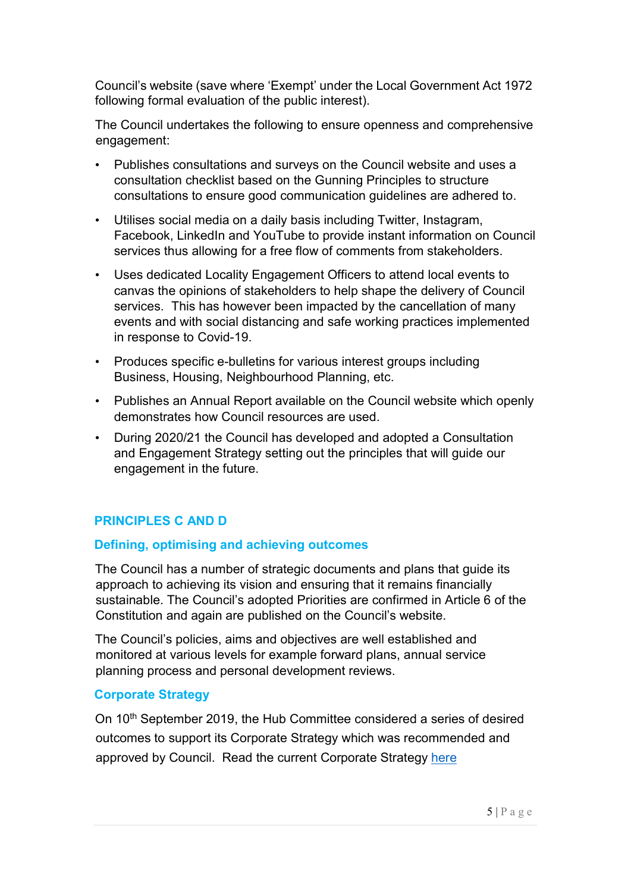Council's website (save where 'Exempt' under the Local Government Act 1972 following formal evaluation of the public interest).

The Council undertakes the following to ensure openness and comprehensive engagement:

- Publishes consultations and surveys on the Council website and uses a consultation checklist based on the Gunning Principles to structure consultations to ensure good communication guidelines are adhered to.
- Utilises social media on a daily basis including Twitter, Instagram, Facebook, LinkedIn and YouTube to provide instant information on Council services thus allowing for a free flow of comments from stakeholders.
- Uses dedicated Locality Engagement Officers to attend local events to canvas the opinions of stakeholders to help shape the delivery of Council services. This has however been impacted by the cancellation of many events and with social distancing and safe working practices implemented in response to Covid-19.
- Produces specific e-bulletins for various interest groups including Business, Housing, Neighbourhood Planning, etc.
- Publishes an Annual Report available on the Council website which openly demonstrates how Council resources are used.
- During 2020/21 the Council has developed and adopted a Consultation and Engagement Strategy setting out the principles that will guide our engagement in the future.

### PRINCIPLES C AND D

#### Defining, optimising and achieving outcomes

The Council has a number of strategic documents and plans that guide its approach to achieving its vision and ensuring that it remains financially sustainable. The Council's adopted Priorities are confirmed in Article 6 of the Constitution and again are published on the Council's website.

The Council's policies, aims and objectives are well established and monitored at various levels for example forward plans, annual service planning process and personal development reviews.

#### Corporate Strategy

On 10<sup>th</sup> September 2019, the Hub Committee considered a series of desired outcomes to support its Corporate Strategy which was recommended and approved by Council. Read the current Corporate Strategy here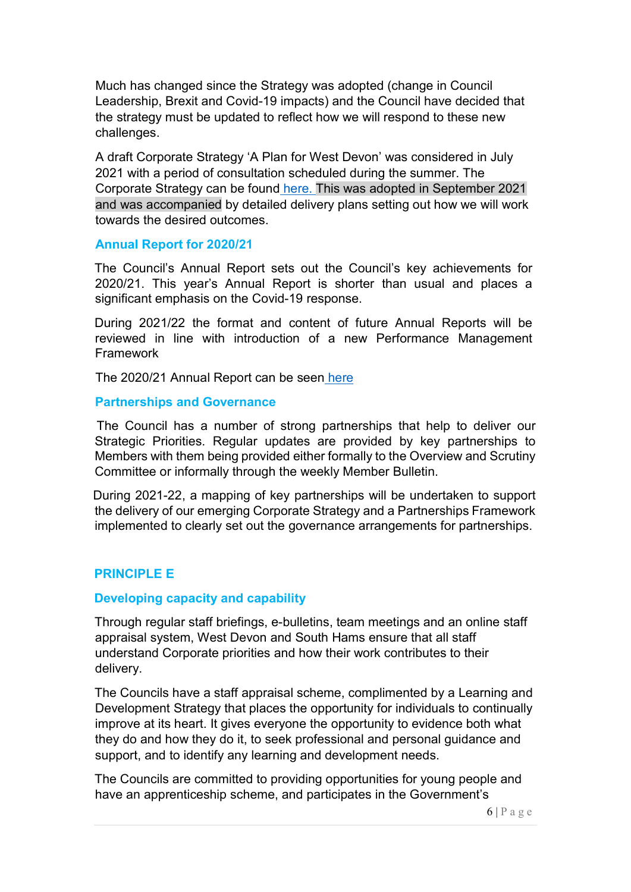Much has changed since the Strategy was adopted (change in Council Leadership, Brexit and Covid-19 impacts) and the Council have decided that the strategy must be updated to reflect how we will respond to these new challenges.

A draft Corporate Strategy 'A Plan for West Devon' was considered in July 2021 with a period of consultation scheduled during the summer. The Corporate Strategy can be found here. This was adopted in September 2021 and was accompanied by detailed delivery plans setting out how we will work towards the desired outcomes.

#### Annual Report for 2020/21

The Council's Annual Report sets out the Council's key achievements for 2020/21. This year's Annual Report is shorter than usual and places a significant emphasis on the Covid-19 response.

During 2021/22 the format and content of future Annual Reports will be reviewed in line with introduction of a new Performance Management Framework

The 2020/21 Annual Report can be seen here

#### Partnerships and Governance

 The Council has a number of strong partnerships that help to deliver our Strategic Priorities. Regular updates are provided by key partnerships to Members with them being provided either formally to the Overview and Scrutiny Committee or informally through the weekly Member Bulletin.

 During 2021-22, a mapping of key partnerships will be undertaken to support the delivery of our emerging Corporate Strategy and a Partnerships Framework implemented to clearly set out the governance arrangements for partnerships.

### PRINCIPLE E

#### Developing capacity and capability

Through regular staff briefings, e-bulletins, team meetings and an online staff appraisal system, West Devon and South Hams ensure that all staff understand Corporate priorities and how their work contributes to their delivery.

The Councils have a staff appraisal scheme, complimented by a Learning and Development Strategy that places the opportunity for individuals to continually improve at its heart. It gives everyone the opportunity to evidence both what they do and how they do it, to seek professional and personal guidance and support, and to identify any learning and development needs.

The Councils are committed to providing opportunities for young people and have an apprenticeship scheme, and participates in the Government's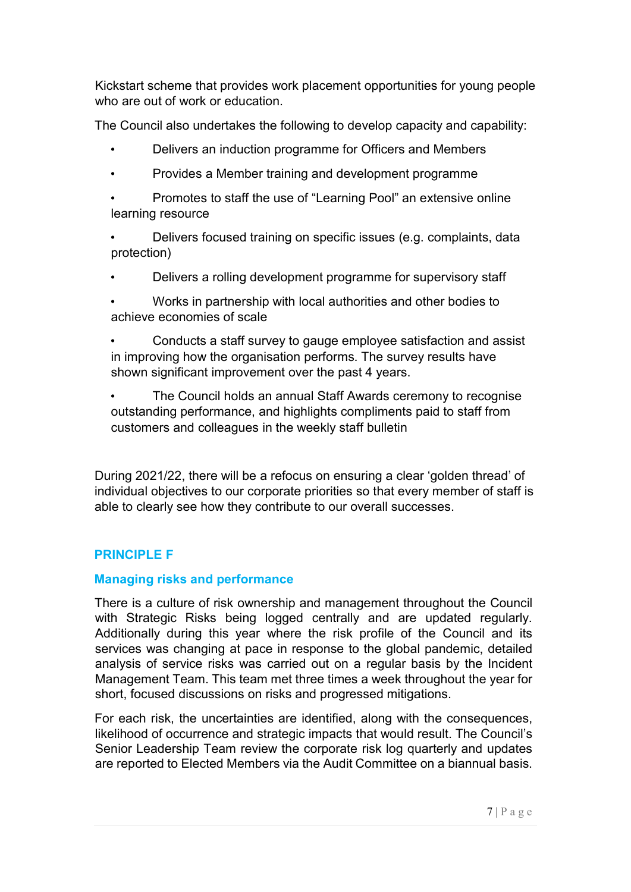Kickstart scheme that provides work placement opportunities for young people who are out of work or education.

The Council also undertakes the following to develop capacity and capability:

- Delivers an induction programme for Officers and Members
- Provides a Member training and development programme

• Promotes to staff the use of "Learning Pool" an extensive online learning resource

• Delivers focused training on specific issues (e.g. complaints, data protection)

• Delivers a rolling development programme for supervisory staff

• Works in partnership with local authorities and other bodies to achieve economies of scale

• Conducts a staff survey to gauge employee satisfaction and assist in improving how the organisation performs. The survey results have shown significant improvement over the past 4 years.

• The Council holds an annual Staff Awards ceremony to recognise outstanding performance, and highlights compliments paid to staff from customers and colleagues in the weekly staff bulletin

During 2021/22, there will be a refocus on ensuring a clear 'golden thread' of individual objectives to our corporate priorities so that every member of staff is able to clearly see how they contribute to our overall successes.

# PRINCIPI F F

### Managing risks and performance

There is a culture of risk ownership and management throughout the Council with Strategic Risks being logged centrally and are updated regularly. Additionally during this year where the risk profile of the Council and its services was changing at pace in response to the global pandemic, detailed analysis of service risks was carried out on a regular basis by the Incident Management Team. This team met three times a week throughout the year for short, focused discussions on risks and progressed mitigations.

For each risk, the uncertainties are identified, along with the consequences, likelihood of occurrence and strategic impacts that would result. The Council's Senior Leadership Team review the corporate risk log quarterly and updates are reported to Elected Members via the Audit Committee on a biannual basis.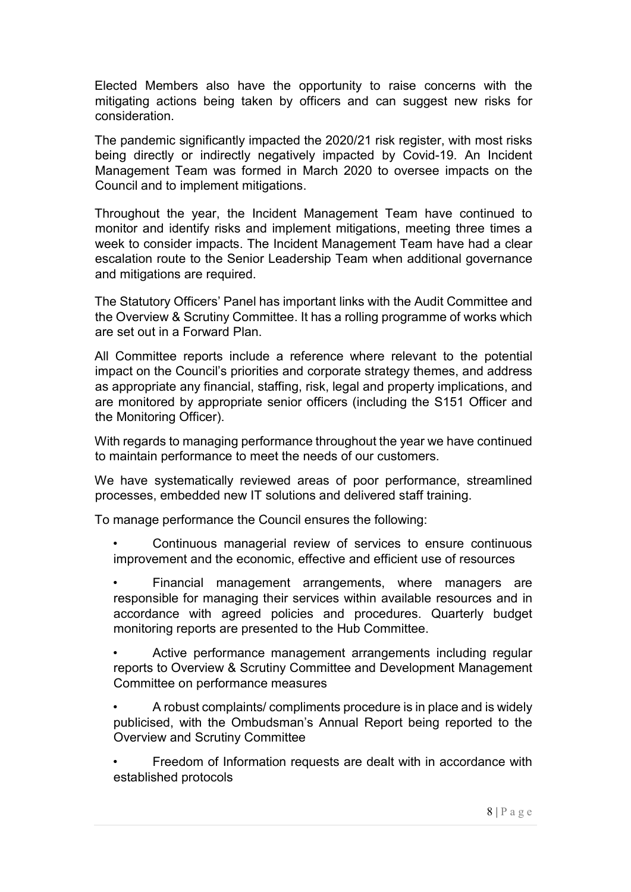Elected Members also have the opportunity to raise concerns with the mitigating actions being taken by officers and can suggest new risks for consideration.

The pandemic significantly impacted the 2020/21 risk register, with most risks being directly or indirectly negatively impacted by Covid-19. An Incident Management Team was formed in March 2020 to oversee impacts on the Council and to implement mitigations.

Throughout the year, the Incident Management Team have continued to monitor and identify risks and implement mitigations, meeting three times a week to consider impacts. The Incident Management Team have had a clear escalation route to the Senior Leadership Team when additional governance and mitigations are required.

The Statutory Officers' Panel has important links with the Audit Committee and the Overview & Scrutiny Committee. It has a rolling programme of works which are set out in a Forward Plan.

All Committee reports include a reference where relevant to the potential impact on the Council's priorities and corporate strategy themes, and address as appropriate any financial, staffing, risk, legal and property implications, and are monitored by appropriate senior officers (including the S151 Officer and the Monitoring Officer).

With regards to managing performance throughout the year we have continued to maintain performance to meet the needs of our customers.

We have systematically reviewed areas of poor performance, streamlined processes, embedded new IT solutions and delivered staff training.

To manage performance the Council ensures the following:

• Continuous managerial review of services to ensure continuous improvement and the economic, effective and efficient use of resources

Financial management arrangements, where managers are responsible for managing their services within available resources and in accordance with agreed policies and procedures. Quarterly budget monitoring reports are presented to the Hub Committee.

Active performance management arrangements including regular reports to Overview & Scrutiny Committee and Development Management Committee on performance measures

• A robust complaints/ compliments procedure is in place and is widely publicised, with the Ombudsman's Annual Report being reported to the Overview and Scrutiny Committee

• Freedom of Information requests are dealt with in accordance with established protocols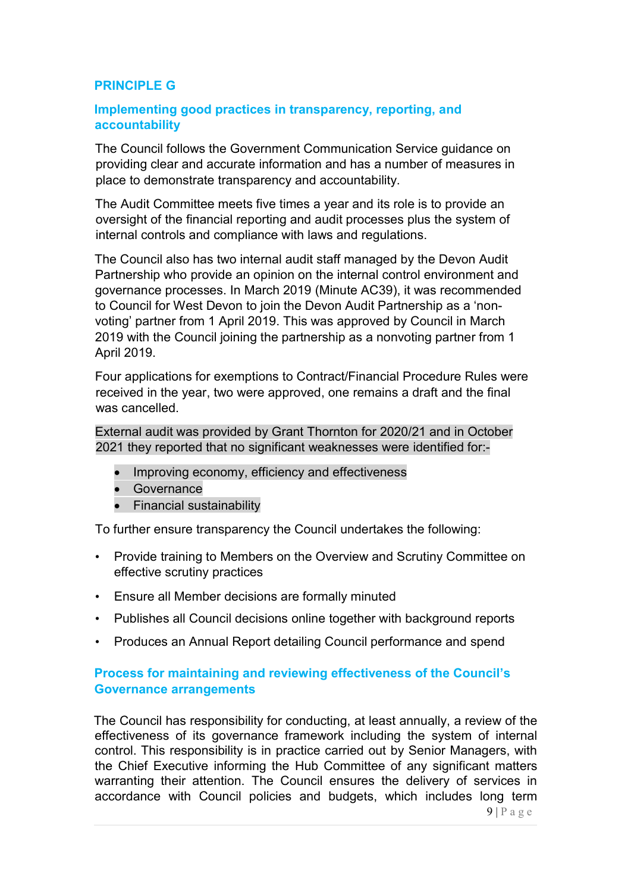### PRINCIPLE G

### Implementing good practices in transparency, reporting, and accountability

The Council follows the Government Communication Service guidance on providing clear and accurate information and has a number of measures in place to demonstrate transparency and accountability.

The Audit Committee meets five times a year and its role is to provide an oversight of the financial reporting and audit processes plus the system of internal controls and compliance with laws and regulations.

The Council also has two internal audit staff managed by the Devon Audit Partnership who provide an opinion on the internal control environment and governance processes. In March 2019 (Minute AC39), it was recommended to Council for West Devon to join the Devon Audit Partnership as a 'nonvoting' partner from 1 April 2019. This was approved by Council in March 2019 with the Council joining the partnership as a nonvoting partner from 1 April 2019.

Four applications for exemptions to Contract/Financial Procedure Rules were received in the year, two were approved, one remains a draft and the final was cancelled.

External audit was provided by Grant Thornton for 2020/21 and in October 2021 they reported that no significant weaknesses were identified for:-

- Improving economy, efficiency and effectiveness
- Governance
- Financial sustainability

To further ensure transparency the Council undertakes the following:

- Provide training to Members on the Overview and Scrutiny Committee on effective scrutiny practices
- Ensure all Member decisions are formally minuted
- Publishes all Council decisions online together with background reports
- Produces an Annual Report detailing Council performance and spend

### Process for maintaining and reviewing effectiveness of the Council's Governance arrangements

The Council has responsibility for conducting, at least annually, a review of the effectiveness of its governance framework including the system of internal control. This responsibility is in practice carried out by Senior Managers, with the Chief Executive informing the Hub Committee of any significant matters warranting their attention. The Council ensures the delivery of services in accordance with Council policies and budgets, which includes long term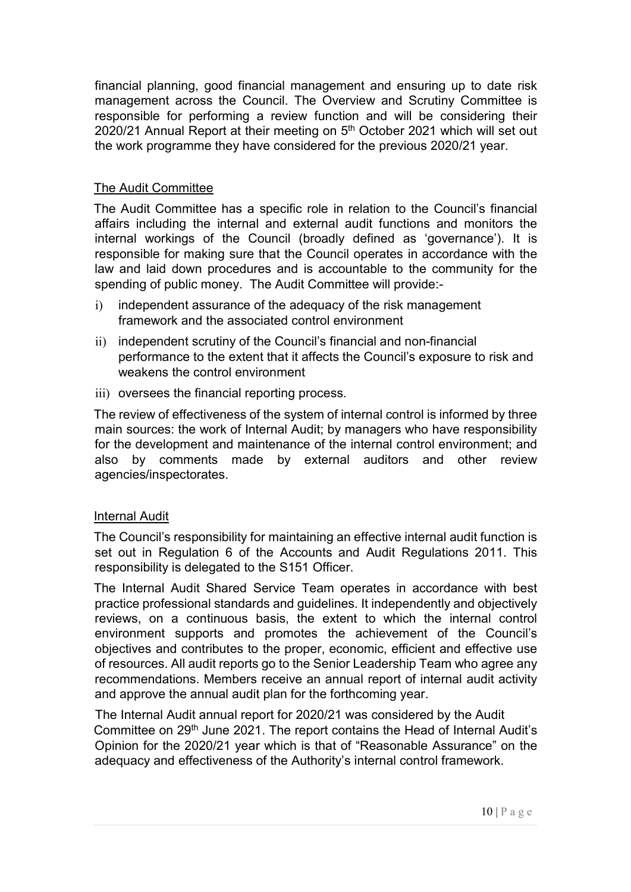financial planning, good financial management and ensuring up to date risk management across the Council. The Overview and Scrutiny Committee is responsible for performing a review function and will be considering their 2020/21 Annual Report at their meeting on 5<sup>th</sup> October 2021 which will set out the work programme they have considered for the previous 2020/21 year.

### The Audit Committee

The Audit Committee has a specific role in relation to the Council's financial affairs including the internal and external audit functions and monitors the internal workings of the Council (broadly defined as 'governance'). It is responsible for making sure that the Council operates in accordance with the law and laid down procedures and is accountable to the community for the spending of public money. The Audit Committee will provide:-

- i) independent assurance of the adequacy of the risk management framework and the associated control environment
- ii) independent scrutiny of the Council's financial and non-financial performance to the extent that it affects the Council's exposure to risk and weakens the control environment
- iii) oversees the financial reporting process.

The review of effectiveness of the system of internal control is informed by three main sources: the work of Internal Audit; by managers who have responsibility for the development and maintenance of the internal control environment; and also by comments made by external auditors and other review agencies/inspectorates.

#### Internal Audit

The Council's responsibility for maintaining an effective internal audit function is set out in Regulation 6 of the Accounts and Audit Regulations 2011. This responsibility is delegated to the S151 Officer.

The Internal Audit Shared Service Team operates in accordance with best practice professional standards and guidelines. It independently and objectively reviews, on a continuous basis, the extent to which the internal control environment supports and promotes the achievement of the Council's objectives and contributes to the proper, economic, efficient and effective use of resources. All audit reports go to the Senior Leadership Team who agree any recommendations. Members receive an annual report of internal audit activity and approve the annual audit plan for the forthcoming year.

The Internal Audit annual report for 2020/21 was considered by the Audit Committee on 29<sup>th</sup> June 2021. The report contains the Head of Internal Audit's Opinion for the 2020/21 year which is that of "Reasonable Assurance" on the adequacy and effectiveness of the Authority's internal control framework.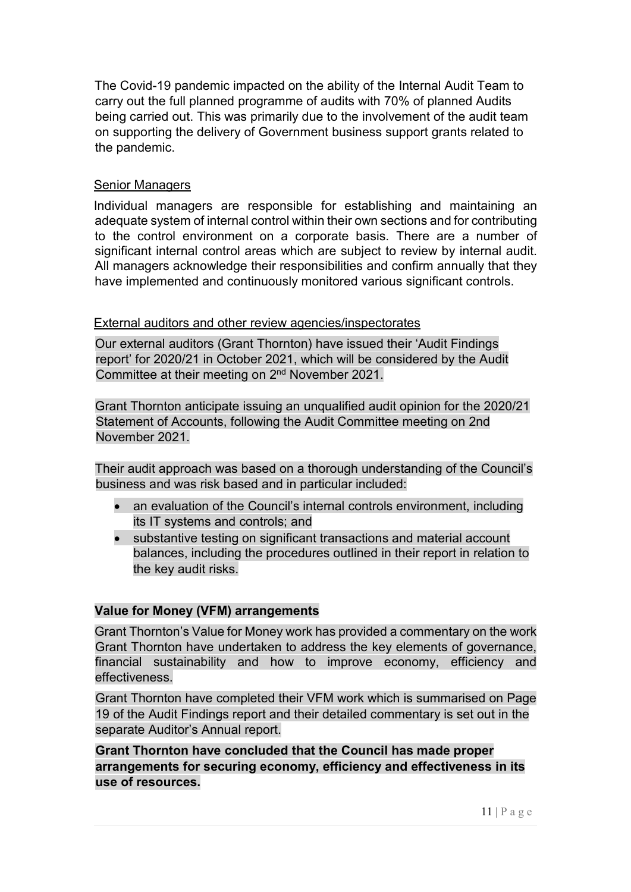The Covid-19 pandemic impacted on the ability of the Internal Audit Team to carry out the full planned programme of audits with 70% of planned Audits being carried out. This was primarily due to the involvement of the audit team on supporting the delivery of Government business support grants related to the pandemic.

### Senior Managers

Individual managers are responsible for establishing and maintaining an adequate system of internal control within their own sections and for contributing to the control environment on a corporate basis. There are a number of significant internal control areas which are subject to review by internal audit. All managers acknowledge their responsibilities and confirm annually that they have implemented and continuously monitored various significant controls.

### External auditors and other review agencies/inspectorates

Our external auditors (Grant Thornton) have issued their 'Audit Findings report' for 2020/21 in October 2021, which will be considered by the Audit Committee at their meeting on 2nd November 2021.

Grant Thornton anticipate issuing an unqualified audit opinion for the 2020/21 Statement of Accounts, following the Audit Committee meeting on 2nd November 2021.

Their audit approach was based on a thorough understanding of the Council's business and was risk based and in particular included:

- an evaluation of the Council's internal controls environment, including its IT systems and controls; and
- substantive testing on significant transactions and material account balances, including the procedures outlined in their report in relation to the key audit risks.

### Value for Money (VFM) arrangements

Grant Thornton's Value for Money work has provided a commentary on the work Grant Thornton have undertaken to address the key elements of governance, financial sustainability and how to improve economy, efficiency and effectiveness.

Grant Thornton have completed their VFM work which is summarised on Page 19 of the Audit Findings report and their detailed commentary is set out in the separate Auditor's Annual report.

Grant Thornton have concluded that the Council has made proper arrangements for securing economy, efficiency and effectiveness in its use of resources.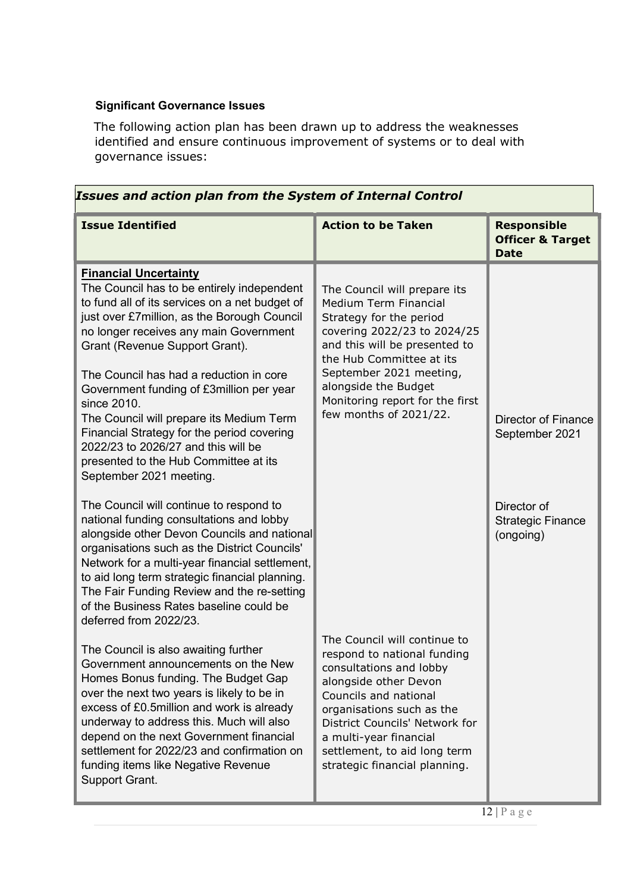## Significant Governance Issues

The following action plan has been drawn up to address the weaknesses identified and ensure continuous improvement of systems or to deal with governance issues:

| Issues and action plan from the System of Internal Control                                                                                                                                                                                                                                                                                                                                                                                                                                                                                                          |                                                                                                                                                                                                                                                                                                    |                                                                  |  |
|---------------------------------------------------------------------------------------------------------------------------------------------------------------------------------------------------------------------------------------------------------------------------------------------------------------------------------------------------------------------------------------------------------------------------------------------------------------------------------------------------------------------------------------------------------------------|----------------------------------------------------------------------------------------------------------------------------------------------------------------------------------------------------------------------------------------------------------------------------------------------------|------------------------------------------------------------------|--|
| <b>Issue Identified</b>                                                                                                                                                                                                                                                                                                                                                                                                                                                                                                                                             | <b>Action to be Taken</b>                                                                                                                                                                                                                                                                          | <b>Responsible</b><br><b>Officer &amp; Target</b><br><b>Date</b> |  |
| <b>Financial Uncertainty</b><br>The Council has to be entirely independent<br>to fund all of its services on a net budget of<br>just over £7 million, as the Borough Council<br>no longer receives any main Government<br>Grant (Revenue Support Grant).<br>The Council has had a reduction in core<br>Government funding of £3million per year<br>since 2010.<br>The Council will prepare its Medium Term<br>Financial Strategy for the period covering<br>2022/23 to 2026/27 and this will be<br>presented to the Hub Committee at its<br>September 2021 meeting. | The Council will prepare its<br>Medium Term Financial<br>Strategy for the period<br>covering 2022/23 to 2024/25<br>and this will be presented to<br>the Hub Committee at its<br>September 2021 meeting,<br>alongside the Budget<br>Monitoring report for the first<br>few months of 2021/22.       | Director of Finance<br>September 2021                            |  |
| The Council will continue to respond to<br>national funding consultations and lobby<br>alongside other Devon Councils and national<br>organisations such as the District Councils'<br>Network for a multi-year financial settlement,<br>to aid long term strategic financial planning.<br>The Fair Funding Review and the re-setting<br>of the Business Rates baseline could be<br>deferred from 2022/23.                                                                                                                                                           |                                                                                                                                                                                                                                                                                                    | Director of<br><b>Strategic Finance</b><br>(ongoing)             |  |
| The Council is also awaiting further<br>Government announcements on the New<br>Homes Bonus funding. The Budget Gap<br>over the next two years is likely to be in<br>excess of £0.5million and work is already<br>underway to address this. Much will also<br>depend on the next Government financial<br>settlement for 2022/23 and confirmation on<br>funding items like Negative Revenue<br>Support Grant.                                                                                                                                                         | The Council will continue to<br>respond to national funding<br>consultations and lobby<br>alongside other Devon<br>Councils and national<br>organisations such as the<br>District Councils' Network for<br>a multi-year financial<br>settlement, to aid long term<br>strategic financial planning. |                                                                  |  |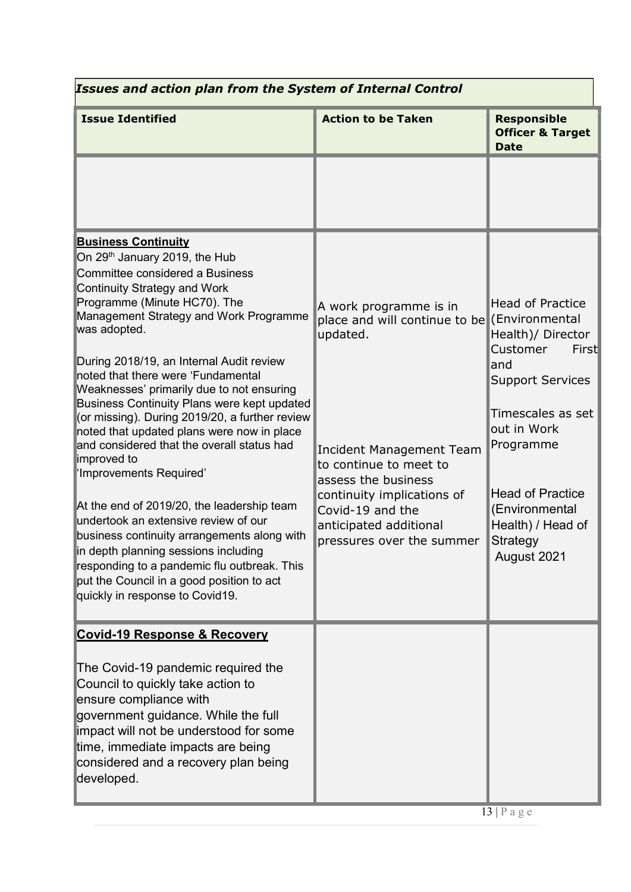| Issues and action plan from the System of Internal Control                                                                                                                                                                                                                                                                                                                                                                                                                                                                                                                                                                                                                                                                                                                                                                                                                                                                    |                                                                                                                                                                                                                                                                                 |                                                                                                                                                                                                                                                   |  |
|-------------------------------------------------------------------------------------------------------------------------------------------------------------------------------------------------------------------------------------------------------------------------------------------------------------------------------------------------------------------------------------------------------------------------------------------------------------------------------------------------------------------------------------------------------------------------------------------------------------------------------------------------------------------------------------------------------------------------------------------------------------------------------------------------------------------------------------------------------------------------------------------------------------------------------|---------------------------------------------------------------------------------------------------------------------------------------------------------------------------------------------------------------------------------------------------------------------------------|---------------------------------------------------------------------------------------------------------------------------------------------------------------------------------------------------------------------------------------------------|--|
| <b>Issue Identified</b>                                                                                                                                                                                                                                                                                                                                                                                                                                                                                                                                                                                                                                                                                                                                                                                                                                                                                                       | <b>Action to be Taken</b>                                                                                                                                                                                                                                                       | <b>Responsible</b><br><b>Officer &amp; Target</b><br><b>Date</b>                                                                                                                                                                                  |  |
|                                                                                                                                                                                                                                                                                                                                                                                                                                                                                                                                                                                                                                                                                                                                                                                                                                                                                                                               |                                                                                                                                                                                                                                                                                 |                                                                                                                                                                                                                                                   |  |
| <b>Business Continuity</b><br>On 29 <sup>th</sup> January 2019, the Hub<br>Committee considered a Business<br>Continuity Strategy and Work<br>Programme (Minute HC70). The<br>Management Strategy and Work Programme<br>was adopted.<br>During 2018/19, an Internal Audit review<br>noted that there were 'Fundamental<br>Weaknesses' primarily due to not ensuring<br><b>Business Continuity Plans were kept updated</b><br>(or missing). During 2019/20, a further review<br>noted that updated plans were now in place<br>and considered that the overall status had<br>improved to<br>'Improvements Required'<br>At the end of 2019/20, the leadership team<br>undertook an extensive review of our<br>business continuity arrangements along with<br>in depth planning sessions including<br>responding to a pandemic flu outbreak. This<br>put the Council in a good position to act<br>quickly in response to Covid19. | A work programme is in<br>place and will continue to be (Environmental<br>updated.<br><b>Incident Management Team</b><br>to continue to meet to<br>assess the business<br>continuity implications of<br>Covid-19 and the<br>anticipated additional<br>pressures over the summer | <b>Head of Practice</b><br>Health)/ Director<br>Customer<br>First<br>and<br><b>Support Services</b><br>Timescales as set<br>out in Work<br>Programme<br><b>Head of Practice</b><br>(Environmental<br>Health) / Head of<br>Strategy<br>August 2021 |  |
| <b>Covid-19 Response &amp; Recovery</b><br>The Covid-19 pandemic required the<br>Council to quickly take action to<br>ensure compliance with<br>government guidance. While the full<br>impact will not be understood for some<br>time, immediate impacts are being<br>considered and a recovery plan being<br>developed.                                                                                                                                                                                                                                                                                                                                                                                                                                                                                                                                                                                                      |                                                                                                                                                                                                                                                                                 |                                                                                                                                                                                                                                                   |  |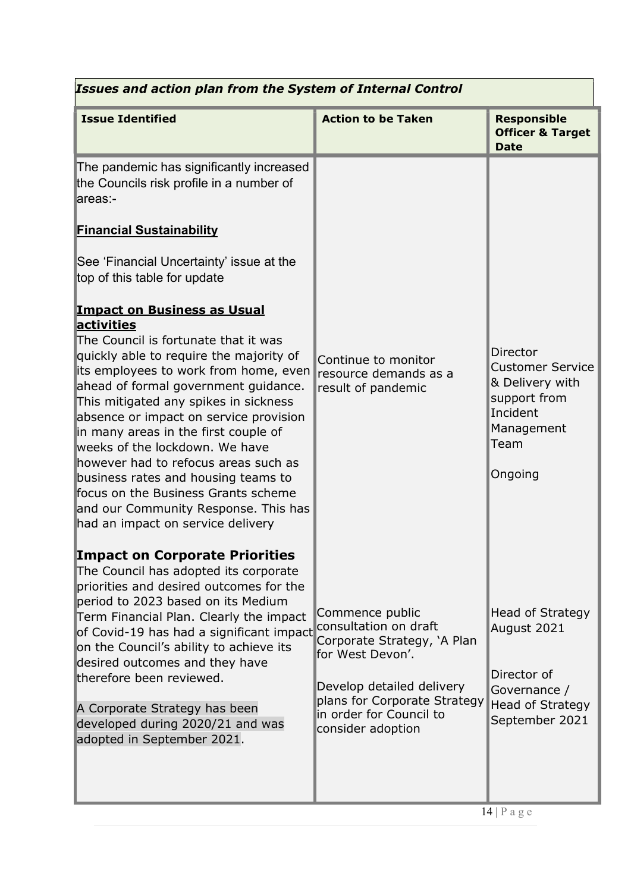| <b>Issues and action plan from the System of Internal Control</b>                                                                                                                                                                                                                                                                                                                                                                                                                                                                                                                    |                                                                                                                                                                                                          |                                                                                                                            |  |  |
|--------------------------------------------------------------------------------------------------------------------------------------------------------------------------------------------------------------------------------------------------------------------------------------------------------------------------------------------------------------------------------------------------------------------------------------------------------------------------------------------------------------------------------------------------------------------------------------|----------------------------------------------------------------------------------------------------------------------------------------------------------------------------------------------------------|----------------------------------------------------------------------------------------------------------------------------|--|--|
| <b>Issue Identified</b>                                                                                                                                                                                                                                                                                                                                                                                                                                                                                                                                                              | <b>Action to be Taken</b>                                                                                                                                                                                | <b>Responsible</b><br><b>Officer &amp; Target</b><br><b>Date</b>                                                           |  |  |
| The pandemic has significantly increased<br>the Councils risk profile in a number of<br>areas:-<br><b>Financial Sustainability</b>                                                                                                                                                                                                                                                                                                                                                                                                                                                   |                                                                                                                                                                                                          |                                                                                                                            |  |  |
| See 'Financial Uncertainty' issue at the<br>top of this table for update                                                                                                                                                                                                                                                                                                                                                                                                                                                                                                             |                                                                                                                                                                                                          |                                                                                                                            |  |  |
| <b>Impact on Business as Usual</b><br>activities<br>The Council is fortunate that it was<br>quickly able to require the majority of<br>its employees to work from home, even<br>ahead of formal government guidance.<br>This mitigated any spikes in sickness<br>absence or impact on service provision<br>in many areas in the first couple of<br>weeks of the lockdown. We have<br>however had to refocus areas such as<br>business rates and housing teams to<br>focus on the Business Grants scheme<br>and our Community Response. This has<br>had an impact on service delivery | Continue to monitor<br>resource demands as a<br>result of pandemic                                                                                                                                       | <b>Director</b><br><b>Customer Service</b><br>& Delivery with<br>support from<br>Incident<br>Management<br>Team<br>Ongoing |  |  |
| <b>Impact on Corporate Priorities</b><br>The Council has adopted its corporate<br>priorities and desired outcomes for the<br>period to 2023 based on its Medium<br>Term Financial Plan. Clearly the impact<br>of Covid-19 has had a significant impact<br>on the Council's ability to achieve its<br>desired outcomes and they have<br>therefore been reviewed.<br>A Corporate Strategy has been<br>developed during 2020/21 and was<br>adopted in September 2021.                                                                                                                   | Commence public<br>consultation on draft<br>Corporate Strategy, 'A Plan<br>for West Devon'.<br>Develop detailed delivery<br>plans for Corporate Strategy<br>in order for Council to<br>consider adoption | <b>Head of Strategy</b><br>August 2021<br>Director of<br>Governance /<br><b>Head of Strategy</b><br>September 2021         |  |  |
|                                                                                                                                                                                                                                                                                                                                                                                                                                                                                                                                                                                      |                                                                                                                                                                                                          | $14$   P a g e                                                                                                             |  |  |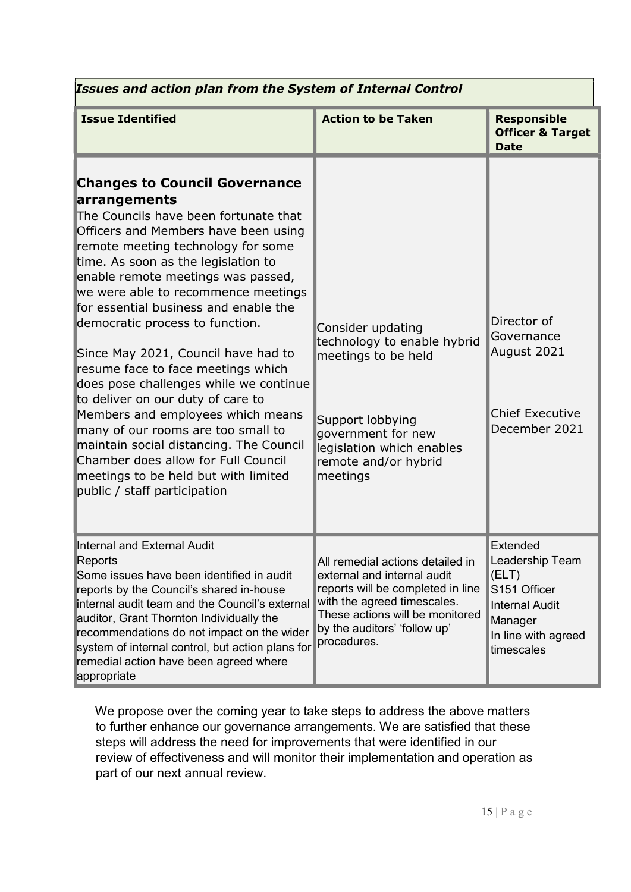| <b>Issues and action plan from the System of Internal Control</b>                                                                                                                                                                                                                                                                                                                                                                                                                                                                                                                                                                                                                                                                                                            |                                                                                                                                                                                                                       |                                                                                                                               |  |
|------------------------------------------------------------------------------------------------------------------------------------------------------------------------------------------------------------------------------------------------------------------------------------------------------------------------------------------------------------------------------------------------------------------------------------------------------------------------------------------------------------------------------------------------------------------------------------------------------------------------------------------------------------------------------------------------------------------------------------------------------------------------------|-----------------------------------------------------------------------------------------------------------------------------------------------------------------------------------------------------------------------|-------------------------------------------------------------------------------------------------------------------------------|--|
| <b>Issue Identified</b>                                                                                                                                                                                                                                                                                                                                                                                                                                                                                                                                                                                                                                                                                                                                                      | <b>Action to be Taken</b>                                                                                                                                                                                             | <b>Responsible</b><br><b>Officer &amp; Target</b><br><b>Date</b>                                                              |  |
| <b>Changes to Council Governance</b><br>arrangements<br>The Councils have been fortunate that<br>Officers and Members have been using<br>remote meeting technology for some<br>time. As soon as the legislation to<br>enable remote meetings was passed,<br>we were able to recommence meetings<br>for essential business and enable the<br>democratic process to function.<br>Since May 2021, Council have had to<br>resume face to face meetings which<br>does pose challenges while we continue<br>to deliver on our duty of care to<br>Members and employees which means<br>many of our rooms are too small to<br>maintain social distancing. The Council<br>Chamber does allow for Full Council<br>meetings to be held but with limited<br>public / staff participation | Consider updating<br>technology to enable hybrid<br>meetings to be held<br>Support lobbying<br>government for new<br>legislation which enables<br>remote and/or hybrid<br>meetings                                    | Director of<br>Governance<br>August 2021<br><b>Chief Executive</b><br>December 2021                                           |  |
| Internal and External Audit<br>Reports<br>Some issues have been identified in audit<br>reports by the Council's shared in-house<br>internal audit team and the Council's external<br>auditor, Grant Thornton Individually the<br>recommendations do not impact on the wider<br>system of internal control, but action plans for<br>remedial action have been agreed where<br>appropriate                                                                                                                                                                                                                                                                                                                                                                                     | All remedial actions detailed in<br>external and internal audit<br>reports will be completed in line<br>with the agreed timescales.<br>These actions will be monitored<br>by the auditors' 'follow up'<br>procedures. | Extended<br>Leadership Team<br>(ELT)<br>S151 Officer<br><b>Internal Audit</b><br>Manager<br>In line with agreed<br>timescales |  |

We propose over the coming year to take steps to address the above matters to further enhance our governance arrangements. We are satisfied that these steps will address the need for improvements that were identified in our review of effectiveness and will monitor their implementation and operation as part of our next annual review.